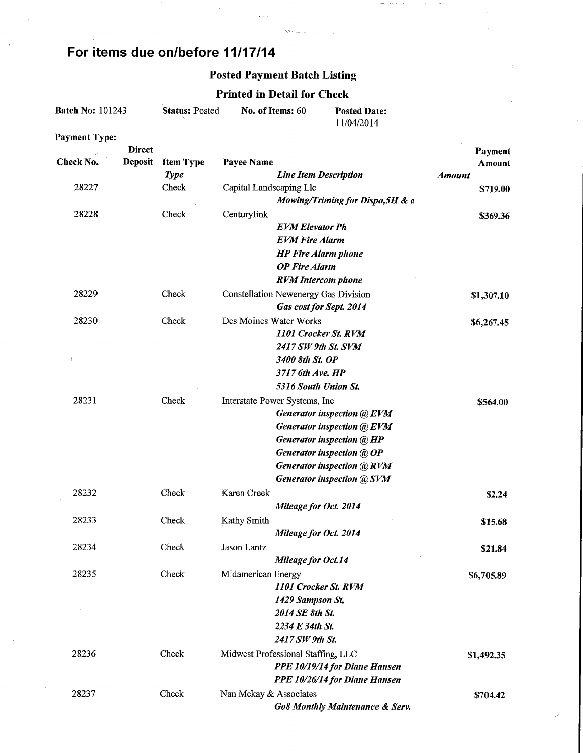# For items due on/before 11/17/14

#### Posted Payment Batch Listing

 $\zeta_{\rm{max}}$  , and  $\zeta_{\rm{max}}$ 

 $\hat{p} = \hat{p}^{\dagger} \hat{p}$  is

 $\sim$   $-$ 

## Printed in Detail for Check

| <b>Batch No: 101243</b> | <b>Status: Posted</b> | No. of Items: 60 | <b>Posted Date:</b> |
|-------------------------|-----------------------|------------------|---------------------|
|                         |                       |                  | 11/04/2014          |
| Davonaand Tumar         |                       |                  |                     |

Payment Type:

| Check No. | <b>Direct</b><br>Deposit | <b>Item Type</b> | Payee Name              |                                                             |               | Payment<br>Amount |
|-----------|--------------------------|------------------|-------------------------|-------------------------------------------------------------|---------------|-------------------|
|           |                          | <b>Type</b>      |                         | <b>Line Item Description</b>                                | <b>Amount</b> |                   |
| 28227     |                          | Check            | Capital Landscaping Llc |                                                             |               | \$719.00          |
|           |                          |                  |                         | Mowing/Triming for Dispo, 5H & a                            |               |                   |
| 28228     |                          | Check            | Centurylink             |                                                             |               | \$369.36          |
|           |                          |                  |                         | <b>EVM Elevator Ph</b>                                      |               |                   |
|           |                          |                  |                         | <b>EVM Fire Alarm</b>                                       |               |                   |
|           |                          |                  |                         | <b>HP</b> Fire Alarm phone                                  |               |                   |
|           |                          |                  |                         | <b>OP</b> Fire Alarm                                        |               |                   |
|           |                          |                  |                         | <b>RVM</b> Intercom phone                                   |               |                   |
| 28229     |                          | Check            |                         | Constellation Newenergy Gas Division                        |               | \$1,307.10        |
|           |                          |                  |                         | Gas cost for Sept. 2014                                     |               |                   |
| 28230     |                          | Check            | Des Moines Water Works  |                                                             |               | \$6,267.45        |
|           |                          |                  |                         | 1101 Crocker St. RVM                                        |               |                   |
|           |                          |                  |                         | 2417 SW 9th St. SVM                                         |               |                   |
|           |                          |                  |                         | 3400 8th St. OP<br>3717 6th Ave. HP                         |               |                   |
|           |                          |                  |                         | 5316 South Union St.                                        |               |                   |
|           |                          |                  |                         |                                                             |               |                   |
| 28231     |                          | Check            |                         | Interstate Power Systems, Inc<br>Generator inspection @ EVM |               | \$564.00          |
|           |                          |                  |                         | Generator inspection @ EVM                                  |               |                   |
|           |                          |                  |                         | Generator inspection @ HP                                   |               |                   |
|           |                          |                  |                         | Generator inspection @ OP                                   |               |                   |
|           |                          |                  |                         | <b>Generator inspection @ RVM</b>                           |               |                   |
|           |                          |                  |                         | <b>Generator inspection @ SVM</b>                           |               |                   |
| 28232     |                          | Check            | Karen Creek             |                                                             |               | \$2.24            |
|           |                          |                  |                         | Mileage for Oct. 2014                                       |               |                   |
| 28233     |                          | Check            | Kathy Smith             |                                                             |               | \$15.68           |
|           |                          |                  |                         | Mileage for Oct. 2014                                       |               |                   |
| 28234     |                          | Check            | <b>Jason Lantz</b>      |                                                             |               | \$21.84           |
|           |                          |                  |                         | Mileage for Oct.14                                          |               |                   |
| 28235     |                          | Check            | Midamerican Energy      |                                                             |               | \$6,705.89        |
|           |                          |                  |                         | 1101 Crocker St. RVM                                        |               |                   |
|           |                          |                  |                         | 1429 Sampson St,                                            |               |                   |
|           |                          |                  |                         | 2014 SE 8th St.                                             |               |                   |
|           |                          |                  |                         | 2234 E 34th St.                                             |               |                   |
|           |                          |                  |                         | 2417 SW 9th St.                                             |               |                   |
| 28236     |                          | Check            |                         | Midwest Professional Staffing, LLC                          |               | \$1,492.35        |
|           |                          |                  |                         | PPE 10/19/14 for Diane Hansen                               |               |                   |
|           |                          |                  |                         | PPE 10/26/14 for Diane Hansen                               |               |                   |
| 28237     |                          | Check            | Nan Mckay & Associates  |                                                             |               | \$704.42          |
|           |                          |                  |                         | <b>Go8 Monthly Maintenance &amp; Serv.</b>                  |               |                   |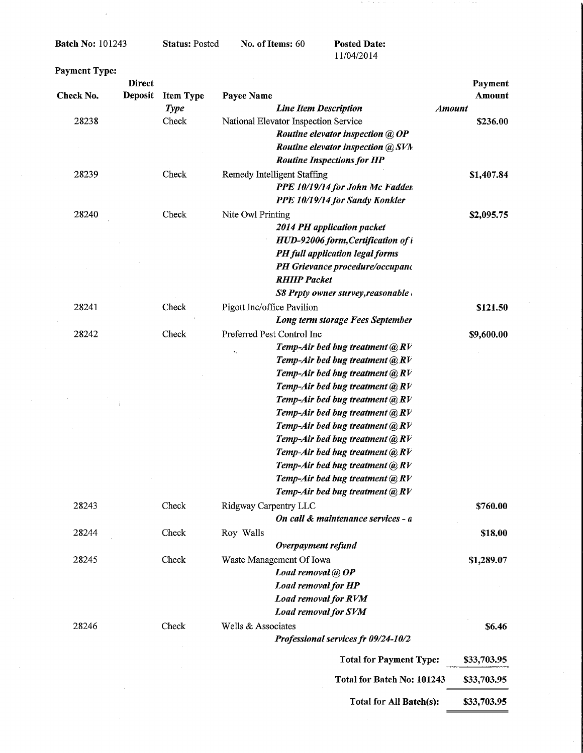Batch No: 101243

 $\ddot{\phantom{a}}$ 

#### Status: Posted

No. of Items: 60 Posted Date:

11/04/2014

 $\mathcal{F}^{\mathcal{G}}$  , and the set of

| <b>Payment Type:</b> |                                 |                                 |                                                 |                         |
|----------------------|---------------------------------|---------------------------------|-------------------------------------------------|-------------------------|
|                      | <b>Direct</b><br><b>Deposit</b> |                                 |                                                 | Payment                 |
| Check No.            |                                 | <b>Item Type</b><br><b>Type</b> | Payee Name<br><b>Line Item Description</b>      | Amount<br><b>Amount</b> |
| 28238                |                                 | Check                           | National Elevator Inspection Service            | \$236.00                |
|                      |                                 |                                 | Routine elevator inspection @ OP                |                         |
|                      |                                 |                                 | Routine elevator inspection @ SVM               |                         |
|                      |                                 |                                 | <b>Routine Inspections for HP</b>               |                         |
| 28239                |                                 | Check                           | Remedy Intelligent Staffing                     |                         |
|                      |                                 |                                 | PPE 10/19/14 for John Mc Fadder                 | \$1,407.84              |
|                      |                                 |                                 |                                                 |                         |
|                      |                                 |                                 | PPE 10/19/14 for Sandy Konkler                  |                         |
| 28240                |                                 | Check                           | Nite Owl Printing                               | \$2,095.75              |
|                      |                                 |                                 | 2014 PH application packet                      |                         |
|                      |                                 |                                 | HUD-92006 form, Certification of i              |                         |
|                      |                                 |                                 | PH full application legal forms                 |                         |
|                      |                                 |                                 | PH Grievance procedure/occupano                 |                         |
|                      |                                 |                                 | <b>RHIIP Packet</b>                             |                         |
|                      |                                 |                                 | $S8$ Prpty owner survey, reasonable             |                         |
| 28241                |                                 | Check                           | Pigott Inc/office Pavilion                      | \$121.50                |
|                      |                                 |                                 | Long term storage Fees September                |                         |
| 28242                |                                 | Check                           | Preferred Pest Control Inc                      | \$9,600.00              |
|                      |                                 |                                 | Temp-Air bed bug treatment $@RV$<br>$\bullet$ . |                         |
|                      |                                 |                                 | Temp-Air bed bug treatment $@RV$                |                         |
|                      |                                 |                                 | Temp-Air bed bug treatment $@RV$                |                         |
|                      |                                 |                                 | Temp-Air bed bug treatment $@RV$                |                         |
|                      |                                 |                                 | Temp-Air bed bug treatment @ RV                 |                         |
|                      |                                 |                                 | Temp-Air bed bug treatment $@RV$                |                         |
|                      |                                 |                                 | Temp-Air bed bug treatment $@RV$                |                         |
|                      |                                 |                                 | Temp-Air bed bug treatment @ RV                 |                         |
|                      |                                 |                                 | Temp-Air bed bug treatment @ RV                 |                         |
|                      |                                 |                                 | Temp-Air bed bug treatment @ RV                 |                         |
|                      |                                 |                                 | Temp-Air bed bug treatment $@RV$                |                         |
|                      |                                 |                                 | Temp-Air bed bug treatment @RV                  |                         |
| 28243                |                                 | Check                           | Ridgway Carpentry LLC                           | \$760.00                |
|                      |                                 |                                 | On call & maintenance services - a              |                         |
| 28244                |                                 | Check                           | Roy Walls                                       | \$18.00                 |
|                      |                                 |                                 | Overpayment refund                              |                         |
| 28245                |                                 | Check                           | Waste Management Of Iowa                        | \$1,289.07              |
|                      |                                 |                                 | Load removal @ OP                               |                         |
|                      |                                 |                                 | <b>Load removal for HP</b>                      |                         |
|                      |                                 |                                 | <b>Load removal for RVM</b>                     |                         |
|                      |                                 |                                 | <b>Load removal for SVM</b>                     |                         |
| 28246                |                                 | Check                           | Wells & Associates                              | \$6.46                  |
|                      |                                 |                                 | Professional services fr 09/24-10/2             |                         |
|                      |                                 |                                 |                                                 |                         |
|                      |                                 |                                 | <b>Total for Payment Type:</b>                  | \$33,703.95             |
|                      |                                 |                                 | Total for Batch No: 101243                      | \$33,703.95             |
|                      |                                 |                                 | Total for All Batch(s):                         | \$33,703.95             |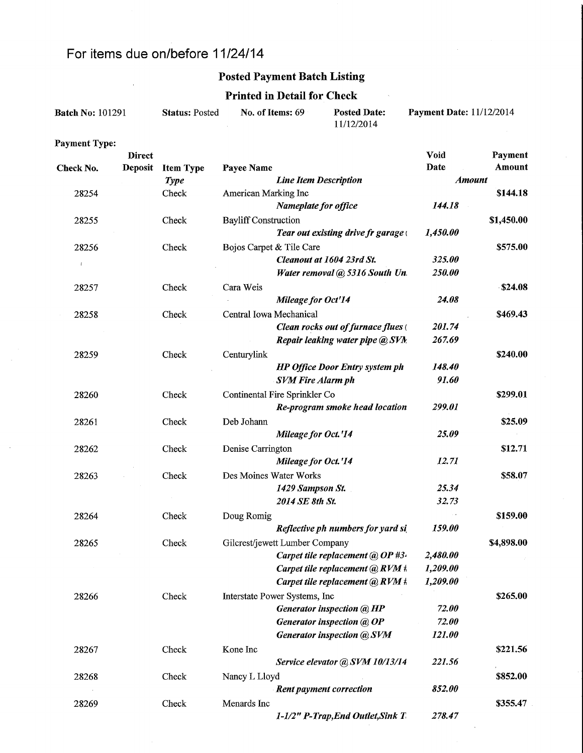## For items due on/before 1 1/24/14

 $\overline{a}$ 

Payment Type:

## Posted Payment Batch Listing

#### Printed in Detail for Check

 $\sim$ 

| <b>Batch No: 101291</b> | <b>Status: Posted</b> | No. of Items: 69 | <b>Posted Date:</b><br>11/12/2014 | <b>Payment Date: 11/12/2014</b> |
|-------------------------|-----------------------|------------------|-----------------------------------|---------------------------------|
|                         |                       |                  |                                   |                                 |

|              | <b>Direct</b>  |                  |                                       | Void          | Payment    |
|--------------|----------------|------------------|---------------------------------------|---------------|------------|
| Check No.    | <b>Deposit</b> | <b>Item Type</b> | Payee Name                            | Date          | Amount     |
|              |                | <b>Type</b>      | <b>Line Item Description</b>          | <b>Amount</b> |            |
| 28254        |                | Check            | American Marking Inc                  |               | \$144.18   |
|              |                |                  | Nameplate for office                  | 144.18        |            |
| 28255        |                | Check            | <b>Bayliff Construction</b>           |               | \$1,450.00 |
|              |                |                  | Tear out existing drive fr garage     | 1,450.00      |            |
| 28256        |                | Check            | Bojos Carpet & Tile Care              |               | \$575.00   |
| $\mathbf{I}$ |                |                  | Cleanout at 1604 23rd St.             | 325.00        |            |
|              |                |                  | Water removal @ 5316 South Un.        | 250.00        |            |
| 28257        |                | Check            | Cara Weis                             |               | \$24.08    |
|              |                |                  | Mileage for Oct'14                    | 24.08         |            |
| 28258        |                | Check            | Central Iowa Mechanical               |               | \$469.43   |
|              |                |                  | Clean rocks out of furnace flues (    | 201.74        |            |
|              |                |                  | Repair leaking water pipe @ SVN.      | 267.69        |            |
| 28259        |                | Check            | Centurylink                           |               | \$240.00   |
|              |                |                  | <b>HP Office Door Entry system ph</b> | 148.40        |            |
|              |                |                  | <b>SVM Fire Alarm ph</b>              | 91.60         |            |
| 28260        |                | Check            | Continental Fire Sprinkler Co         |               | \$299.01   |
|              |                |                  | Re-program smoke head location        | 299.01        |            |
|              |                |                  | Deb Johann                            |               | \$25.09    |
| 28261        |                | Check            |                                       | 25.09         |            |
|              |                |                  | Mileage for Oct.'14                   |               |            |
| 28262        |                | Check            | Denise Carrington                     |               | \$12.71    |
|              |                |                  | Mileage for Oct.'14                   | 12.71         |            |
| 28263        |                | Check            | Des Moines Water Works                |               | \$58.07    |
|              |                |                  | 1429 Sampson St.                      | 25.34         |            |
|              |                |                  | 2014 SE 8th St.                       | 32.73         |            |
| 28264        |                | Check            | Doug Romig                            |               | \$159.00   |
|              |                |                  | Reflective ph numbers for yard si     | 159.00        |            |
| 28265        |                | Check            | Gilcrest/jewett Lumber Company        |               | \$4,898.00 |
|              |                |                  | Carpet tile replacement @ OP #3.      | 2,480.00      |            |
|              |                |                  | Carpet tile replacement $@RVM$ #.     | 1,209.00      |            |
|              |                |                  | Carpet tile replacement @ RVM #       | 1,209.00      |            |
| 28266        |                | Check            | Interstate Power Systems, Inc         |               | \$265.00   |
|              |                |                  | <b>Generator inspection @ HP</b>      | 72.00         |            |
|              |                |                  | Generator inspection @ OP             | 72.00         |            |
|              |                |                  | <b>Generator inspection @ SVM</b>     | 121.00        |            |
| 28267        |                | Check            | Kone Inc                              |               | \$221.56   |
|              |                |                  | Service elevator @ SVM 10/13/14       | 221.56        |            |
| 28268        |                | Check            | Nancy L Lloyd                         |               | \$852.00   |
|              |                |                  | <b>Rent payment correction</b>        | 852.00        |            |
| 28269        |                | Check            | Menards Inc                           |               | \$355.47   |
|              |                |                  | 1-1/2" P-Trap, End Outlet, Sink T     | 278.47        |            |
|              |                |                  |                                       |               |            |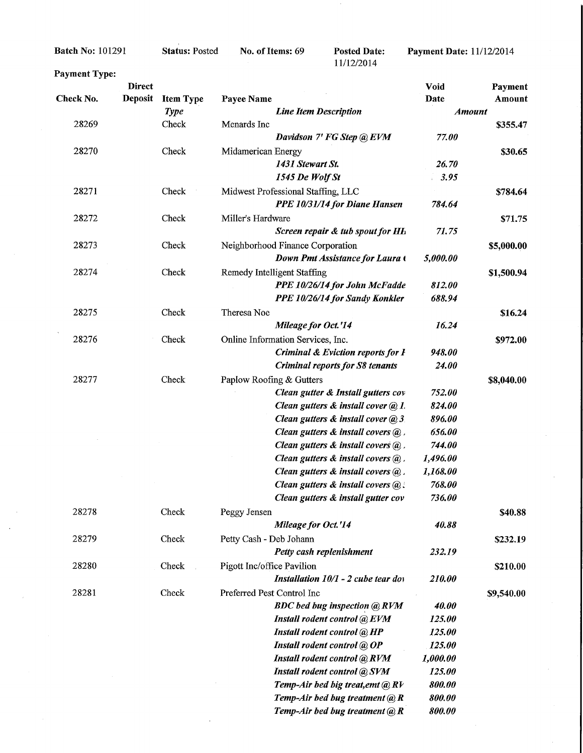Batch No: 101291

#### Status: Posted

No. of Items: 69

**Posted Date:**<br>11/12/2014

Payment Date: 11/12/2014

| Payment Type: |                                 |                  |                                                                     |               |                   |
|---------------|---------------------------------|------------------|---------------------------------------------------------------------|---------------|-------------------|
| Check No.     | <b>Direct</b><br><b>Deposit</b> | <b>Item Type</b> | Payee Name                                                          | Void<br>Date  | Payment<br>Amount |
|               |                                 | <b>Type</b>      | <b>Line Item Description</b>                                        | <b>Amount</b> |                   |
| 28269         |                                 | Check            | Menards Inc                                                         |               | \$355.47          |
|               |                                 |                  | Davidson 7' FG Step @ EVM                                           | 77.00         |                   |
| 28270         |                                 | Check            | Midamerican Energy                                                  |               | \$30.65           |
|               |                                 |                  | 1431 Stewart St.                                                    | 26.70         |                   |
|               |                                 |                  | 1545 De Wolf St                                                     | 3.95          |                   |
| 28271         |                                 | Check            |                                                                     |               |                   |
|               |                                 |                  | Midwest Professional Staffing, LLC<br>PPE 10/31/14 for Diane Hansen | 784.64        | \$784.64          |
|               |                                 |                  |                                                                     |               |                   |
| 28272         |                                 | Check            | Miller's Hardware                                                   |               | \$71.75           |
|               |                                 |                  | Screen repair & tub spout for Hh                                    | 71.75         |                   |
| 28273         |                                 | Check            | Neighborhood Finance Corporation                                    |               | \$5,000.00        |
|               |                                 |                  | Down Pmt Assistance for Laura (                                     | 5,000.00      |                   |
| 28274         |                                 | Check            | <b>Remedy Intelligent Staffing</b>                                  |               | \$1,500.94        |
|               |                                 |                  | PPE 10/26/14 for John McFadde                                       | 812.00        |                   |
|               |                                 |                  | PPE 10/26/14 for Sandy Konkler                                      | 688.94        |                   |
| 28275         |                                 | Check            | Theresa Noe                                                         |               | \$16.24           |
|               |                                 |                  | Mileage for Oct.'14                                                 | 16.24         |                   |
| 28276         |                                 | Check            | Online Information Services, Inc.                                   |               | \$972.00          |
|               |                                 |                  | <b>Criminal &amp; Eviction reports for I</b>                        | 948.00        |                   |
|               |                                 |                  | <b>Criminal reports for S8 tenants</b>                              | 24.00         |                   |
| 28277         |                                 | Check            | Paplow Roofing & Gutters                                            |               | \$8,040.00        |
|               |                                 |                  | Clean gutter & Install gutters cov                                  | 752.00        |                   |
|               |                                 |                  | Clean gutters & install cover @ 1.                                  | 824.00        |                   |
|               |                                 |                  | Clean gutters & install cover @ 3.                                  | 896.00        |                   |
|               |                                 |                  | Clean gutters $\&$ install covers $\&$ .                            | 656.00        |                   |
|               |                                 |                  | Clean gutters $\&$ install covers $\&$ .                            | 744.00        |                   |
|               |                                 |                  | Clean gutters $\&$ install covers $\&$ .                            | 1,496.00      |                   |
|               |                                 |                  | Clean gutters $\&$ install covers $\&$ .                            | 1,168.00      |                   |
|               |                                 |                  | Clean gutters $\&$ install covers $\&$ .                            | 768.00        |                   |
|               |                                 |                  | Clean gutters & install gutter cov                                  | 736.00        |                   |
| 28278         |                                 | Check            | Peggy Jensen                                                        |               | \$40.88           |
|               |                                 |                  | Mileage for Oct.'14                                                 | 40.88         |                   |
|               |                                 |                  |                                                                     |               |                   |
| 28279         |                                 | Check            | Petty Cash - Deb Johann                                             |               | \$232.19          |
|               |                                 |                  | Petty cash replenishment                                            | 232.19        |                   |
| 28280         |                                 | Check            | Pigott Inc/office Pavilion                                          |               | \$210.00          |
|               |                                 |                  | Installation 10/1 - 2 cube tear do                                  | 210.00        |                   |
| 28281         |                                 | Check            | Preferred Pest Control Inc                                          |               | \$9,540.00        |
|               |                                 |                  | <b>BDC</b> bed bug inspection @ RVM                                 | 40.00         |                   |
|               |                                 |                  | Install rodent control @ EVM                                        | 125.00        |                   |
|               |                                 |                  | Install rodent control @ HP                                         | 125.00        |                   |
|               |                                 |                  | Install rodent control @ OP                                         | 125.00        |                   |
|               |                                 |                  | Install rodent control @ RVM                                        | 1,000.00      |                   |
|               |                                 |                  | Install rodent control @ SVM                                        | 125.00        |                   |
|               |                                 |                  | Temp-Air bed big treat, emt @ RV                                    | 800.00        |                   |
|               |                                 |                  | Temp-Air bed bug treatment $(a)$ R                                  | 800.00        |                   |
|               |                                 |                  | Temp-Air bed bug treatment $@R$                                     | 800.00        |                   |

J.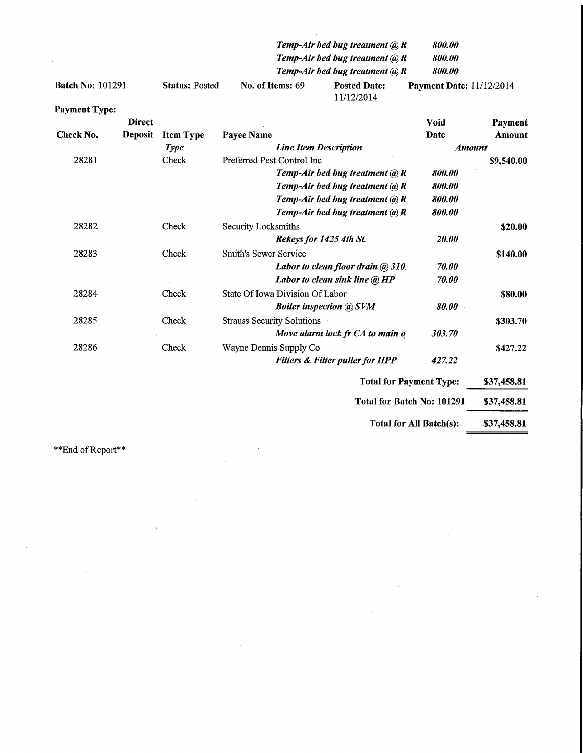|                         |                       |                  | Temp-Air bed bug treatment $(a)$ , R            | 800.00                          |
|-------------------------|-----------------------|------------------|-------------------------------------------------|---------------------------------|
|                         |                       |                  | Temp-Air bed bug treatment $(a)$ R              | 800.00                          |
|                         |                       |                  | Temp-Air bed bug treatment ( $\widehat{a}$ ), R | 800.00                          |
| <b>Batch No: 101291</b> | <b>Status: Posted</b> | No. of Items: 69 | <b>Posted Date:</b><br>11/12/2014               | <b>Payment Date: 11/12/2014</b> |

| <b>Payment Type:</b> |                |                  |                                            |               |             |
|----------------------|----------------|------------------|--------------------------------------------|---------------|-------------|
|                      | <b>Direct</b>  |                  |                                            | Void          | Payment     |
| Check No.            | <b>Deposit</b> | <b>Item Type</b> | Payee Name                                 | Date          | Amount      |
|                      |                | <b>Type</b>      | <b>Line Item Description</b>               | <b>Amount</b> |             |
| 28281                |                | Check            | Preferred Pest Control Inc                 |               | \$9,540.00  |
|                      |                |                  | Temp-Air bed bug treatment $@R$            | 800.00        |             |
|                      |                |                  | Temp-Air bed bug treatment $@R$            | 800.00        |             |
|                      |                |                  | Temp-Air bed bug treatment $(a)$ R         | 800.00        |             |
|                      |                |                  | Temp-Air bed bug treatment $(a)$ R         | 800.00        |             |
| 28282                |                | Check            | Security Locksmiths                        |               | \$20.00     |
|                      |                |                  | Rekeys for 1425 4th St.                    | 20.00         |             |
| 28283                |                | Check            | <b>Smith's Sewer Service</b>               |               | \$140.00    |
|                      |                |                  | Labor to clean floor drain @ 310           | 70.00         |             |
|                      |                |                  | Labor to clean sink line @ HP              | 70.00         |             |
| 28284                |                | Check            | State Of Iowa Division Of Labor            |               | \$80.00     |
|                      |                |                  | <b>Boiler inspection @ SVM</b>             | 80.00         |             |
| 28285                |                | Check            | <b>Strauss Security Solutions</b>          |               | \$303.70    |
|                      |                |                  | Move alarm lock fr CA to main of           | 303.70        |             |
| 28286                |                | Check            | Wayne Dennis Supply Co                     |               | \$427.22    |
|                      |                |                  | <b>Filters &amp; Filter puller for HPP</b> | 427.22        |             |
|                      |                |                  | <b>Total for Payment Type:</b>             |               | \$37,458.81 |
|                      |                |                  | Total for Batch No: 101291                 |               | \$37,458.81 |
|                      |                |                  | Total for All Batch(s):                    |               | \$37,458.81 |

\*\*End of Report\*\*

 $\bar{z}$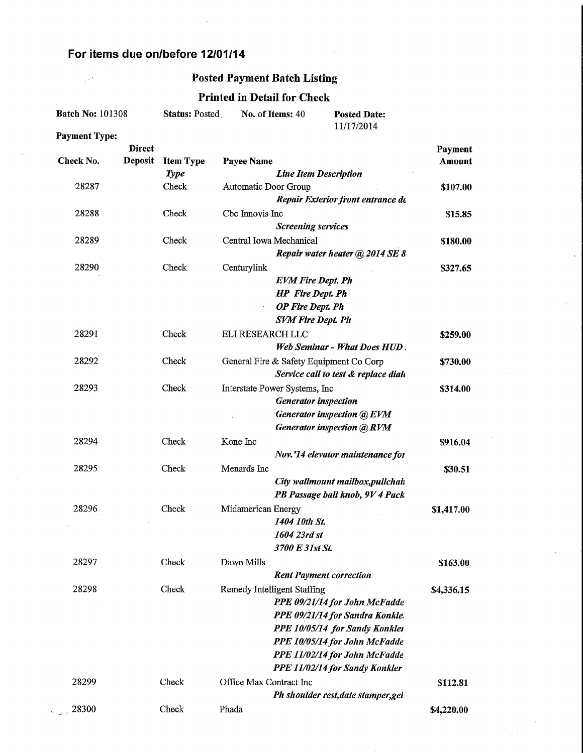### For items due on/before 12/01/14

 $\mathbb{R}^2$ 

#### Posted Payment Batch Listing

## Printed in Detail for Check

 $\hat{\mathcal{L}}$ 

| <b>Batch No: 101308</b> |                                 | <b>Status: Posted</b> |                         | No. of Items: 40                                                                                           | <b>Posted Date:</b><br>11/17/2014                                                                                                                                                                      |                   |
|-------------------------|---------------------------------|-----------------------|-------------------------|------------------------------------------------------------------------------------------------------------|--------------------------------------------------------------------------------------------------------------------------------------------------------------------------------------------------------|-------------------|
| <b>Payment Type:</b>    |                                 |                       |                         |                                                                                                            |                                                                                                                                                                                                        |                   |
| Check No.               | <b>Direct</b><br><b>Deposit</b> | <b>Item Type</b>      | Payee Name              |                                                                                                            |                                                                                                                                                                                                        | Payment<br>Amount |
| 28287                   |                                 | <b>Type</b><br>Check  | Automatic Door Group    | <b>Line Item Description</b>                                                                               | Repair Exterior front entrance do                                                                                                                                                                      | \$107.00          |
| 28288                   |                                 | Check                 | Cbc Innovis Inc         | <b>Screening services</b>                                                                                  |                                                                                                                                                                                                        | \$15.85           |
| 28289                   |                                 | Check                 | Central Iowa Mechanical |                                                                                                            | Repair water heater @ 2014 SE 8                                                                                                                                                                        | \$180.00          |
| 28290                   |                                 | Check                 | Centurylink             | <b>EVM Fire Dept. Ph</b><br><b>HP</b> Fire Dept. Ph<br><b>OP</b> Fire Dept. Ph<br><b>SVM Fire Dept. Ph</b> |                                                                                                                                                                                                        | \$327.65          |
| 28291                   |                                 | Check                 | ELI RESEARCH LLC        |                                                                                                            | Web Seminar - What Does HUD.                                                                                                                                                                           | \$259.00          |
| 28292                   |                                 | Check                 |                         | General Fire & Safety Equipment Co Corp                                                                    | Service call to test & replace diale                                                                                                                                                                   | \$730.00          |
| 28293                   |                                 | Check                 |                         | Interstate Power Systems, Inc.<br><b>Generator</b> inspection                                              | Generator inspection @ EVM<br>Generator inspection @RVM                                                                                                                                                | \$314.00          |
| 28294                   |                                 | Check                 | Kone Inc                |                                                                                                            | Nov.'14 elevator maintenance for                                                                                                                                                                       | \$916.04          |
| 28295                   |                                 | Check                 | Menards Inc             |                                                                                                            | City wallmount mailbox, pullchain<br>PB Passage ball knob, 9V 4 Pack                                                                                                                                   | \$30.51           |
| 28296                   |                                 | Check                 | Midamerican Energy      | 1404 10th St.<br>1604 23rd st<br>3700 E 31st St.                                                           |                                                                                                                                                                                                        | \$1,417.00        |
| 28297                   |                                 | Check                 | Dawn Mills              | <b>Rent Payment correction</b>                                                                             |                                                                                                                                                                                                        | \$163.00          |
| 28298                   |                                 | Check                 |                         | Remedy Intelligent Staffing                                                                                | PPE 09/21/14 for John McFadde<br>PPE 09/21/14 for Sandra Konkle.<br>PPE 10/05/14 for Sandy Konkler<br>PPE 10/05/14 for John McFadde<br>PPE 11/02/14 for John McFadde<br>PPE 11/02/14 for Sandy Konkler | \$4,336.15        |
| 28299                   |                                 | Check                 | Office Max Contract Inc |                                                                                                            | Ph shoulder rest, date stamper, gel                                                                                                                                                                    | \$112.81          |
| 28300                   |                                 | Check                 | Phada                   |                                                                                                            |                                                                                                                                                                                                        | \$4,220.00        |